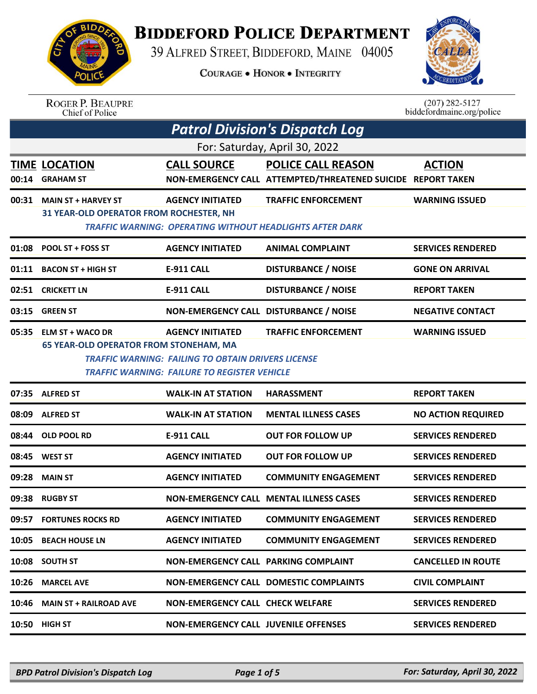

## **BIDDEFORD POLICE DEPARTMENT**

39 ALFRED STREET, BIDDEFORD, MAINE 04005

**COURAGE . HONOR . INTEGRITY** 



## ROGER P. BEAUPRE<br>Chief of Police

 $(207)$  282-5127<br>biddefordmaine.org/police

|       | <b>Patrol Division's Dispatch Log</b>                                                                                                                                                                                                                                          |                                             |                                                                                               |                           |  |  |
|-------|--------------------------------------------------------------------------------------------------------------------------------------------------------------------------------------------------------------------------------------------------------------------------------|---------------------------------------------|-----------------------------------------------------------------------------------------------|---------------------------|--|--|
|       | For: Saturday, April 30, 2022                                                                                                                                                                                                                                                  |                                             |                                                                                               |                           |  |  |
| 00:14 | <b>TIME LOCATION</b><br><b>GRAHAM ST</b>                                                                                                                                                                                                                                       | <b>CALL SOURCE</b>                          | <b>POLICE CALL REASON</b><br>NON-EMERGENCY CALL ATTEMPTED/THREATENED SUICIDE REPORT TAKEN     | <b>ACTION</b>             |  |  |
| 00:31 | <b>MAIN ST + HARVEY ST</b><br>31 YEAR-OLD OPERATOR FROM ROCHESTER, NH                                                                                                                                                                                                          | <b>AGENCY INITIATED</b>                     | <b>TRAFFIC ENFORCEMENT</b><br><b>TRAFFIC WARNING: OPERATING WITHOUT HEADLIGHTS AFTER DARK</b> | <b>WARNING ISSUED</b>     |  |  |
| 01:08 | POOL ST + FOSS ST                                                                                                                                                                                                                                                              | <b>AGENCY INITIATED</b>                     | <b>ANIMAL COMPLAINT</b>                                                                       | <b>SERVICES RENDERED</b>  |  |  |
| 01:11 | <b>BACON ST + HIGH ST</b>                                                                                                                                                                                                                                                      | <b>E-911 CALL</b>                           | <b>DISTURBANCE / NOISE</b>                                                                    | <b>GONE ON ARRIVAL</b>    |  |  |
| 02:51 | <b>CRICKETT LN</b>                                                                                                                                                                                                                                                             | <b>E-911 CALL</b>                           | <b>DISTURBANCE / NOISE</b>                                                                    | <b>REPORT TAKEN</b>       |  |  |
| 03:15 | <b>GREEN ST</b>                                                                                                                                                                                                                                                                | NON-EMERGENCY CALL DISTURBANCE / NOISE      |                                                                                               | <b>NEGATIVE CONTACT</b>   |  |  |
| 05:35 | <b>ELM ST + WACO DR</b><br><b>WARNING ISSUED</b><br><b>AGENCY INITIATED</b><br><b>TRAFFIC ENFORCEMENT</b><br><b>65 YEAR-OLD OPERATOR FROM STONEHAM, MA</b><br><b>TRAFFIC WARNING: FAILING TO OBTAIN DRIVERS LICENSE</b><br><b>TRAFFIC WARNING: FAILURE TO REGISTER VEHICLE</b> |                                             |                                                                                               |                           |  |  |
|       | 07:35 ALFRED ST                                                                                                                                                                                                                                                                | <b>WALK-IN AT STATION</b>                   | <b>HARASSMENT</b>                                                                             | <b>REPORT TAKEN</b>       |  |  |
| 08:09 | <b>ALFRED ST</b>                                                                                                                                                                                                                                                               | <b>WALK-IN AT STATION</b>                   | <b>MENTAL ILLNESS CASES</b>                                                                   | <b>NO ACTION REQUIRED</b> |  |  |
| 08:44 | <b>OLD POOL RD</b>                                                                                                                                                                                                                                                             | <b>E-911 CALL</b>                           | <b>OUT FOR FOLLOW UP</b>                                                                      | <b>SERVICES RENDERED</b>  |  |  |
| 08:45 | <b>WEST ST</b>                                                                                                                                                                                                                                                                 | <b>AGENCY INITIATED</b>                     | <b>OUT FOR FOLLOW UP</b>                                                                      | <b>SERVICES RENDERED</b>  |  |  |
| 09:28 | <b>MAIN ST</b>                                                                                                                                                                                                                                                                 | <b>AGENCY INITIATED</b>                     | <b>COMMUNITY ENGAGEMENT</b>                                                                   | <b>SERVICES RENDERED</b>  |  |  |
| 09:38 | <b>RUGBY ST</b>                                                                                                                                                                                                                                                                |                                             | <b>NON-EMERGENCY CALL MENTAL ILLNESS CASES</b>                                                | <b>SERVICES RENDERED</b>  |  |  |
|       | 09:57 FORTUNES ROCKS RD                                                                                                                                                                                                                                                        | <b>AGENCY INITIATED</b>                     | <b>COMMUNITY ENGAGEMENT</b>                                                                   | <b>SERVICES RENDERED</b>  |  |  |
| 10:05 | <b>BEACH HOUSE LN</b>                                                                                                                                                                                                                                                          | <b>AGENCY INITIATED</b>                     | <b>COMMUNITY ENGAGEMENT</b>                                                                   | <b>SERVICES RENDERED</b>  |  |  |
| 10:08 | <b>SOUTH ST</b>                                                                                                                                                                                                                                                                | <b>NON-EMERGENCY CALL PARKING COMPLAINT</b> |                                                                                               | <b>CANCELLED IN ROUTE</b> |  |  |
| 10:26 | <b>MARCEL AVE</b>                                                                                                                                                                                                                                                              |                                             | <b>NON-EMERGENCY CALL DOMESTIC COMPLAINTS</b>                                                 | <b>CIVIL COMPLAINT</b>    |  |  |
| 10:46 | <b>MAIN ST + RAILROAD AVE</b>                                                                                                                                                                                                                                                  | <b>NON-EMERGENCY CALL CHECK WELFARE</b>     |                                                                                               | <b>SERVICES RENDERED</b>  |  |  |
| 10:50 | <b>HIGH ST</b>                                                                                                                                                                                                                                                                 | NON-EMERGENCY CALL JUVENILE OFFENSES        |                                                                                               | <b>SERVICES RENDERED</b>  |  |  |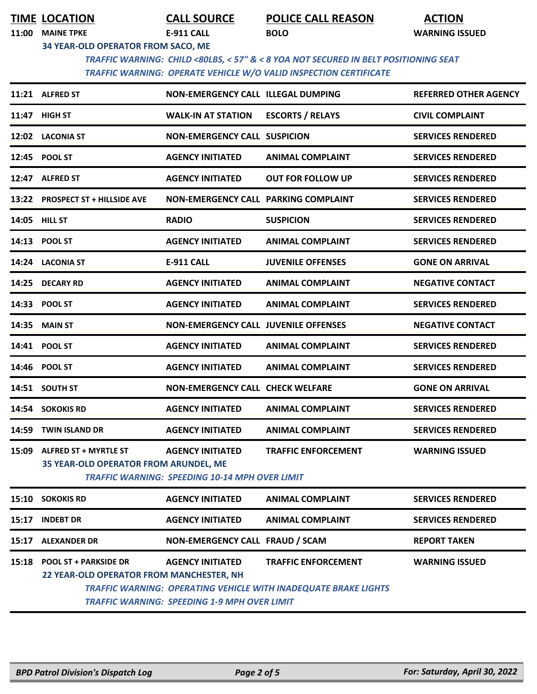| <b>TIME LOCATION</b> |
|----------------------|
|                      |

**TIME LOCATION CALL SOURCE POLICE CALL REASON ACTION**

**11:00 MAINE TPKE E-911 CALL BOLO WARNING ISSUED**

**34 YEAR-OLD OPERATOR FROM SACO, ME**

 *TRAFFIC WARNING: CHILD <80LBS, < 57" & < 8 YOA NOT SECURED IN BELT POSITIONING SEAT TRAFFIC WARNING: OPERATE VEHICLE W/O VALID INSPECTION CERTIFICATE* 

|       | 11:21 ALFRED ST                                                          | NON-EMERGENCY CALL ILLEGAL DUMPING                                               |                                                                                                      | <b>REFERRED OTHER AGENCY</b> |
|-------|--------------------------------------------------------------------------|----------------------------------------------------------------------------------|------------------------------------------------------------------------------------------------------|------------------------------|
|       | 11:47 HIGH ST                                                            | <b>WALK-IN AT STATION</b>                                                        | <b>ESCORTS / RELAYS</b>                                                                              | <b>CIVIL COMPLAINT</b>       |
|       | 12:02 LACONIA ST                                                         | <b>NON-EMERGENCY CALL SUSPICION</b>                                              |                                                                                                      | <b>SERVICES RENDERED</b>     |
|       | 12:45 POOL ST                                                            | <b>AGENCY INITIATED</b>                                                          | <b>ANIMAL COMPLAINT</b>                                                                              | <b>SERVICES RENDERED</b>     |
|       | 12:47 ALFRED ST                                                          | <b>AGENCY INITIATED</b>                                                          | <b>OUT FOR FOLLOW UP</b>                                                                             | <b>SERVICES RENDERED</b>     |
|       | 13:22 PROSPECT ST + HILLSIDE AVE                                         | NON-EMERGENCY CALL PARKING COMPLAINT                                             |                                                                                                      | <b>SERVICES RENDERED</b>     |
|       | 14:05 HILL ST                                                            | <b>RADIO</b>                                                                     | <b>SUSPICION</b>                                                                                     | <b>SERVICES RENDERED</b>     |
|       | 14:13 POOL ST                                                            | <b>AGENCY INITIATED</b>                                                          | <b>ANIMAL COMPLAINT</b>                                                                              | <b>SERVICES RENDERED</b>     |
|       | 14:24 LACONIA ST                                                         | <b>E-911 CALL</b>                                                                | <b>JUVENILE OFFENSES</b>                                                                             | <b>GONE ON ARRIVAL</b>       |
|       | 14:25 DECARY RD                                                          | <b>AGENCY INITIATED</b>                                                          | <b>ANIMAL COMPLAINT</b>                                                                              | <b>NEGATIVE CONTACT</b>      |
|       | 14:33 POOL ST                                                            | <b>AGENCY INITIATED</b>                                                          | <b>ANIMAL COMPLAINT</b>                                                                              | <b>SERVICES RENDERED</b>     |
| 14:35 | <b>MAIN ST</b>                                                           | <b>NON-EMERGENCY CALL JUVENILE OFFENSES</b>                                      |                                                                                                      | <b>NEGATIVE CONTACT</b>      |
|       | 14:41 POOL ST                                                            | <b>AGENCY INITIATED</b>                                                          | <b>ANIMAL COMPLAINT</b>                                                                              | <b>SERVICES RENDERED</b>     |
|       | 14:46 POOL ST                                                            | <b>AGENCY INITIATED</b>                                                          | <b>ANIMAL COMPLAINT</b>                                                                              | <b>SERVICES RENDERED</b>     |
|       | 14:51 SOUTH ST                                                           | NON-EMERGENCY CALL CHECK WELFARE                                                 |                                                                                                      | <b>GONE ON ARRIVAL</b>       |
| 14:54 | <b>SOKOKIS RD</b>                                                        | <b>AGENCY INITIATED</b>                                                          | <b>ANIMAL COMPLAINT</b>                                                                              | <b>SERVICES RENDERED</b>     |
| 14:59 | <b>TWIN ISLAND DR</b>                                                    | <b>AGENCY INITIATED</b>                                                          | <b>ANIMAL COMPLAINT</b>                                                                              | <b>SERVICES RENDERED</b>     |
| 15:09 | <b>ALFRED ST + MYRTLE ST</b><br>35 YEAR-OLD OPERATOR FROM ARUNDEL, ME    | <b>AGENCY INITIATED</b><br><b>TRAFFIC WARNING: SPEEDING 10-14 MPH OVER LIMIT</b> | <b>TRAFFIC ENFORCEMENT</b>                                                                           | <b>WARNING ISSUED</b>        |
|       | 15:10 SOKOKIS RD                                                         | <b>AGENCY INITIATED</b>                                                          | <b>ANIMAL COMPLAINT</b>                                                                              | <b>SERVICES RENDERED</b>     |
| 15:17 | <b>INDEBT DR</b>                                                         | <b>AGENCY INITIATED</b>                                                          | <b>ANIMAL COMPLAINT</b>                                                                              | <b>SERVICES RENDERED</b>     |
| 15:17 | <b>ALEXANDER DR</b>                                                      | NON-EMERGENCY CALL FRAUD / SCAM                                                  |                                                                                                      | <b>REPORT TAKEN</b>          |
| 15:18 | <b>POOL ST + PARKSIDE DR</b><br>22 YEAR-OLD OPERATOR FROM MANCHESTER, NH | <b>AGENCY INITIATED</b><br><b>TRAFFIC WARNING: SPEEDING 1-9 MPH OVER LIMIT</b>   | <b>TRAFFIC ENFORCEMENT</b><br><b>TRAFFIC WARNING: OPERATING VEHICLE WITH INADEQUATE BRAKE LIGHTS</b> | <b>WARNING ISSUED</b>        |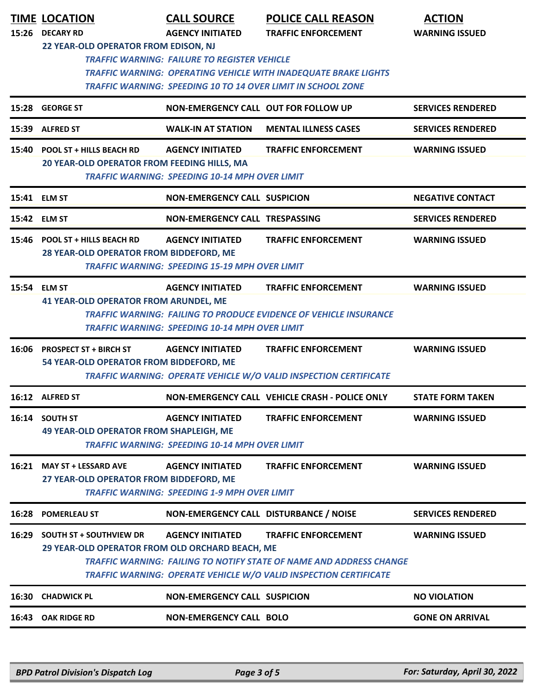| 15:26 | <b>TIME LOCATION</b><br><b>DECARY RD</b>                                          | <b>CALL SOURCE</b><br><b>AGENCY INITIATED</b>                                    | <b>POLICE CALL REASON</b><br><b>TRAFFIC ENFORCEMENT</b>                                                                                                                | <b>ACTION</b><br><b>WARNING ISSUED</b> |
|-------|-----------------------------------------------------------------------------------|----------------------------------------------------------------------------------|------------------------------------------------------------------------------------------------------------------------------------------------------------------------|----------------------------------------|
|       | 22 YEAR-OLD OPERATOR FROM EDISON, NJ                                              | <b>TRAFFIC WARNING: FAILURE TO REGISTER VEHICLE</b>                              | <b>TRAFFIC WARNING: OPERATING VEHICLE WITH INADEQUATE BRAKE LIGHTS</b><br><b>TRAFFIC WARNING: SPEEDING 10 TO 14 OVER LIMIT IN SCHOOL ZONE</b>                          |                                        |
|       | 15:28 GEORGE ST                                                                   | NON-EMERGENCY CALL OUT FOR FOLLOW UP                                             |                                                                                                                                                                        | <b>SERVICES RENDERED</b>               |
| 15:39 | <b>ALFRED ST</b>                                                                  | <b>WALK-IN AT STATION</b>                                                        | <b>MENTAL ILLNESS CASES</b>                                                                                                                                            | <b>SERVICES RENDERED</b>               |
|       | 15:40 POOL ST + HILLS BEACH RD<br>20 YEAR-OLD OPERATOR FROM FEEDING HILLS, MA     | <b>AGENCY INITIATED</b><br><b>TRAFFIC WARNING: SPEEDING 10-14 MPH OVER LIMIT</b> | <b>TRAFFIC ENFORCEMENT</b>                                                                                                                                             | <b>WARNING ISSUED</b>                  |
|       | 15:41 ELM ST                                                                      | <b>NON-EMERGENCY CALL SUSPICION</b>                                              |                                                                                                                                                                        | <b>NEGATIVE CONTACT</b>                |
|       | 15:42 ELM ST                                                                      | NON-EMERGENCY CALL TRESPASSING                                                   |                                                                                                                                                                        | <b>SERVICES RENDERED</b>               |
|       | 15:46 POOL ST + HILLS BEACH RD<br>28 YEAR-OLD OPERATOR FROM BIDDEFORD, ME         | <b>AGENCY INITIATED</b><br><b>TRAFFIC WARNING: SPEEDING 15-19 MPH OVER LIMIT</b> | <b>TRAFFIC ENFORCEMENT</b>                                                                                                                                             | <b>WARNING ISSUED</b>                  |
|       | 15:54 ELM ST<br><b>41 YEAR-OLD OPERATOR FROM ARUNDEL, ME</b>                      | <b>AGENCY INITIATED</b><br><b>TRAFFIC WARNING: SPEEDING 10-14 MPH OVER LIMIT</b> | <b>TRAFFIC ENFORCEMENT</b><br><b>TRAFFIC WARNING: FAILING TO PRODUCE EVIDENCE OF VEHICLE INSURANCE</b>                                                                 | <b>WARNING ISSUED</b>                  |
| 16:06 | <b>PROSPECT ST + BIRCH ST</b><br>54 YEAR-OLD OPERATOR FROM BIDDEFORD, ME          | <b>AGENCY INITIATED</b>                                                          | <b>TRAFFIC ENFORCEMENT</b><br>TRAFFIC WARNING: OPERATE VEHICLE W/O VALID INSPECTION CERTIFICATE                                                                        | <b>WARNING ISSUED</b>                  |
|       | 16:12 ALFRED ST                                                                   |                                                                                  | NON-EMERGENCY CALL VEHICLE CRASH - POLICE ONLY                                                                                                                         | <b>STATE FORM TAKEN</b>                |
|       | 16:14 SOUTH ST<br><b>49 YEAR-OLD OPERATOR FROM SHAPLEIGH, ME</b>                  | <b>AGENCY INITIATED</b><br><b>TRAFFIC WARNING: SPEEDING 10-14 MPH OVER LIMIT</b> | <b>TRAFFIC ENFORCEMENT</b>                                                                                                                                             | <b>WARNING ISSUED</b>                  |
|       | 16:21 MAY ST + LESSARD AVE<br>27 YEAR-OLD OPERATOR FROM BIDDEFORD, ME             | <b>AGENCY INITIATED</b><br><b>TRAFFIC WARNING: SPEEDING 1-9 MPH OVER LIMIT</b>   | <b>TRAFFIC ENFORCEMENT</b>                                                                                                                                             | <b>WARNING ISSUED</b>                  |
|       | 16:28 POMERLEAU ST                                                                | NON-EMERGENCY CALL DISTURBANCE / NOISE                                           |                                                                                                                                                                        | <b>SERVICES RENDERED</b>               |
| 16:29 | <b>SOUTH ST + SOUTHVIEW DR</b><br>29 YEAR-OLD OPERATOR FROM OLD ORCHARD BEACH, ME | <b>AGENCY INITIATED</b>                                                          | <b>TRAFFIC ENFORCEMENT</b><br>TRAFFIC WARNING: FAILING TO NOTIFY STATE OF NAME AND ADDRESS CHANGE<br>TRAFFIC WARNING: OPERATE VEHICLE W/O VALID INSPECTION CERTIFICATE | <b>WARNING ISSUED</b>                  |
| 16:30 | <b>CHADWICK PL</b>                                                                | <b>NON-EMERGENCY CALL SUSPICION</b>                                              |                                                                                                                                                                        | <b>NO VIOLATION</b>                    |
|       | 16:43 OAK RIDGE RD                                                                | <b>NON-EMERGENCY CALL BOLO</b>                                                   |                                                                                                                                                                        | <b>GONE ON ARRIVAL</b>                 |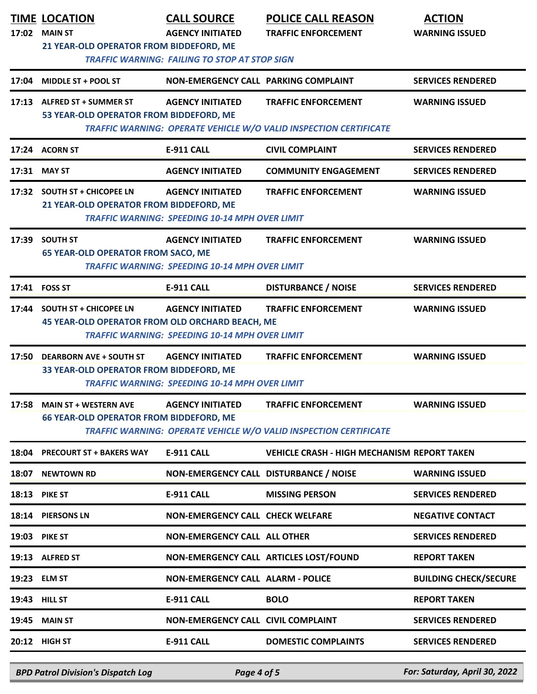|       | <b>TIME LOCATION</b><br>17:02 MAIN ST<br>21 YEAR-OLD OPERATOR FROM BIDDEFORD, ME | <b>CALL SOURCE</b><br><b>AGENCY INITIATED</b>                                    | <b>POLICE CALL REASON</b><br><b>TRAFFIC ENFORCEMENT</b>                                         | <b>ACTION</b><br><b>WARNING ISSUED</b> |
|-------|----------------------------------------------------------------------------------|----------------------------------------------------------------------------------|-------------------------------------------------------------------------------------------------|----------------------------------------|
|       |                                                                                  | <b>TRAFFIC WARNING: FAILING TO STOP AT STOP SIGN</b>                             |                                                                                                 |                                        |
| 17:04 | <b>MIDDLE ST + POOL ST</b>                                                       | NON-EMERGENCY CALL PARKING COMPLAINT                                             |                                                                                                 | <b>SERVICES RENDERED</b>               |
|       | 17:13 ALFRED ST + SUMMER ST<br>53 YEAR-OLD OPERATOR FROM BIDDEFORD, ME           | <b>AGENCY INITIATED</b>                                                          | <b>TRAFFIC ENFORCEMENT</b><br>TRAFFIC WARNING: OPERATE VEHICLE W/O VALID INSPECTION CERTIFICATE | <b>WARNING ISSUED</b>                  |
|       | 17:24 ACORN ST                                                                   | <b>E-911 CALL</b>                                                                | <b>CIVIL COMPLAINT</b>                                                                          | <b>SERVICES RENDERED</b>               |
|       | 17:31 MAY ST                                                                     | <b>AGENCY INITIATED</b>                                                          | <b>COMMUNITY ENGAGEMENT</b>                                                                     | <b>SERVICES RENDERED</b>               |
|       | 17:32 SOUTH ST + CHICOPEE LN<br>21 YEAR-OLD OPERATOR FROM BIDDEFORD, ME          | <b>AGENCY INITIATED</b><br><b>TRAFFIC WARNING: SPEEDING 10-14 MPH OVER LIMIT</b> | <b>TRAFFIC ENFORCEMENT</b>                                                                      | <b>WARNING ISSUED</b>                  |
| 17:39 | <b>SOUTH ST</b><br><b>65 YEAR-OLD OPERATOR FROM SACO, ME</b>                     | <b>AGENCY INITIATED</b><br><b>TRAFFIC WARNING: SPEEDING 10-14 MPH OVER LIMIT</b> | <b>TRAFFIC ENFORCEMENT</b>                                                                      | <b>WARNING ISSUED</b>                  |
|       | 17:41 FOSS ST                                                                    | <b>E-911 CALL</b>                                                                | <b>DISTURBANCE / NOISE</b>                                                                      | <b>SERVICES RENDERED</b>               |
|       | 17:44 SOUTH ST + CHICOPEE LN<br>45 YEAR-OLD OPERATOR FROM OLD ORCHARD BEACH, ME  | <b>AGENCY INITIATED</b><br><b>TRAFFIC WARNING: SPEEDING 10-14 MPH OVER LIMIT</b> | <b>TRAFFIC ENFORCEMENT</b>                                                                      | <b>WARNING ISSUED</b>                  |
| 17:50 | <b>DEARBORN AVE + SOUTH ST</b><br>33 YEAR-OLD OPERATOR FROM BIDDEFORD, ME        | <b>AGENCY INITIATED</b><br><b>TRAFFIC WARNING: SPEEDING 10-14 MPH OVER LIMIT</b> | <b>TRAFFIC ENFORCEMENT</b>                                                                      | <b>WARNING ISSUED</b>                  |
|       | 17:58 MAIN ST + WESTERN AVE<br><b>66 YEAR-OLD OPERATOR FROM BIDDEFORD, ME</b>    | <b>AGENCY INITIATED</b>                                                          | <b>TRAFFIC ENFORCEMENT</b><br>TRAFFIC WARNING: OPERATE VEHICLE W/O VALID INSPECTION CERTIFICATE | <b>WARNING ISSUED</b>                  |
|       | 18:04 PRECOURT ST + BAKERS WAY                                                   | <b>E-911 CALL</b>                                                                | <b>VEHICLE CRASH - HIGH MECHANISM REPORT TAKEN</b>                                              |                                        |
| 18:07 | <b>NEWTOWN RD</b>                                                                | NON-EMERGENCY CALL DISTURBANCE / NOISE                                           |                                                                                                 | <b>WARNING ISSUED</b>                  |
|       | <b>18:13 PIKE ST</b>                                                             | E-911 CALL                                                                       | <b>MISSING PERSON</b>                                                                           | <b>SERVICES RENDERED</b>               |
|       | 18:14 PIERSONS LN                                                                | <b>NON-EMERGENCY CALL CHECK WELFARE</b>                                          |                                                                                                 | <b>NEGATIVE CONTACT</b>                |
|       | <b>19:03 PIKE ST</b>                                                             | <b>NON-EMERGENCY CALL ALL OTHER</b>                                              |                                                                                                 | <b>SERVICES RENDERED</b>               |
|       | 19:13 ALFRED ST                                                                  |                                                                                  | NON-EMERGENCY CALL ARTICLES LOST/FOUND                                                          | <b>REPORT TAKEN</b>                    |
|       | 19:23 ELM ST                                                                     | <b>NON-EMERGENCY CALL ALARM - POLICE</b>                                         |                                                                                                 | <b>BUILDING CHECK/SECURE</b>           |
|       | <b>19:43 HILL ST</b>                                                             | <b>E-911 CALL</b>                                                                | <b>BOLO</b>                                                                                     | <b>REPORT TAKEN</b>                    |
| 19:45 | <b>MAIN ST</b>                                                                   | NON-EMERGENCY CALL CIVIL COMPLAINT                                               |                                                                                                 | <b>SERVICES RENDERED</b>               |
| 20:12 | <b>HIGH ST</b>                                                                   | <b>E-911 CALL</b>                                                                | <b>DOMESTIC COMPLAINTS</b>                                                                      | <b>SERVICES RENDERED</b>               |

*BPD Patrol Division's Dispatch Log Page 4 of 5 For: Saturday, April 30, 2022*